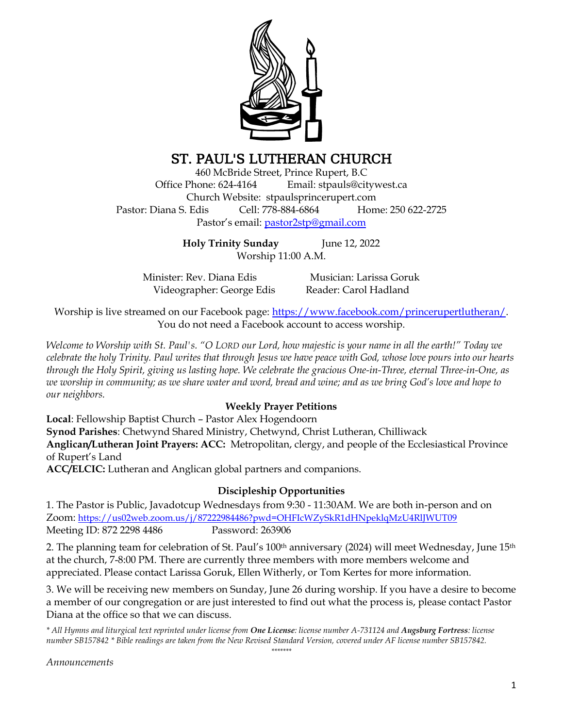

# ST. PAUL'S LUTHERAN CHURCH

460 McBride Street, Prince Rupert, B.C Office Phone: 624-4164 Email: stpauls@citywest.ca Church Website: stpaulsprincerupert.com Pastor: Diana S. Edis Cell: 778-884-6864 Home: 250 622-2725 Pastor's email: [pastor2stp@gmail.com](mailto:pastor2stp@gmail.com)

> **Holy Trinity Sunday** June 12, 2022 Worship 11:00 A.M.

Minister: Rev. Diana Edis Musician: Larissa Goruk Videographer: George Edis Reader: Carol Hadland

Worship is live streamed on our Facebook page: [https://www.facebook.com/princerupertlutheran/.](https://www.facebook.com/princerupertlutheran/) You do not need a Facebook account to access worship.

*Welcome to Worship with St. Paul's. "O LORD our Lord, how majestic is your name in all the earth!" Today we celebrate the holy Trinity. Paul writes that through Jesus we have peace with God, whose love pours into our hearts through the Holy Spirit, giving us lasting hope. We celebrate the gracious One-in-Three, eternal Three-in-One, as we worship in community; as we share water and word, bread and wine; and as we bring God's love and hope to our neighbors.*

# **Weekly Prayer Petitions**

**Local**: Fellowship Baptist Church – Pastor Alex Hogendoorn **Synod Parishes**: Chetwynd Shared Ministry, Chetwynd, Christ Lutheran, Chilliwack **Anglican/Lutheran Joint Prayers: ACC:** Metropolitan, clergy, and people of the Ecclesiastical Province of Rupert's Land

**ACC/ELCIC:** Lutheran and Anglican global partners and companions.

# **Discipleship Opportunities**

1. The Pastor is Public, Javadotcup Wednesdays from 9:30 - 11:30AM. We are both in-person and on Zoom: <https://us02web.zoom.us/j/87222984486?pwd=OHFIcWZySkR1dHNpeklqMzU4RlJWUT09> Meeting ID: 872 2298 4486 Password: 263906

2. The planning team for celebration of St. Paul's 100<sup>th</sup> anniversary (2024) will meet Wednesday, June 15<sup>th</sup> at the church, 7-8:00 PM. There are currently three members with more members welcome and appreciated. Please contact Larissa Goruk, Ellen Witherly, or Tom Kertes for more information.

3. We will be receiving new members on Sunday, June 26 during worship. If you have a desire to become a member of our congregation or are just interested to find out what the process is, please contact Pastor Diana at the office so that we can discuss.

*\* All Hymns and liturgical text reprinted under license from One License: license number A-731124 and Augsburg Fortress: license number SB157842 \* Bible readings are taken from the New Revised Standard Version, covered under AF license number SB157842. \*\*\*\*\*\*\**

*Announcements*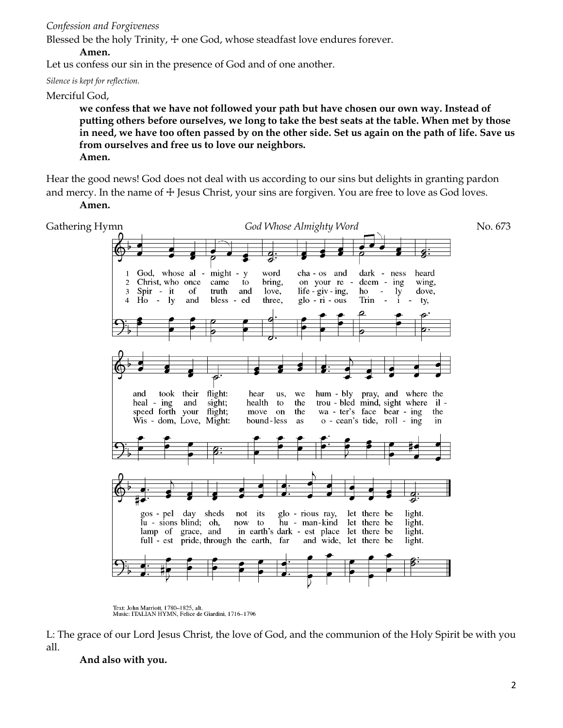### *Confession and Forgiveness*

Blessed be the holy Trinity,  $+$  one God, whose steadfast love endures forever.

### **Amen.**

Let us confess our sin in the presence of God and of one another.

*Silence is kept for reflection.*

Merciful God,

**we confess that we have not followed your path but have chosen our own way. Instead of putting others before ourselves, we long to take the best seats at the table. When met by those in need, we have too often passed by on the other side. Set us again on the path of life. Save us from ourselves and free us to love our neighbors. Amen.**

Hear the good news! God does not deal with us according to our sins but delights in granting pardon and mercy. In the name of  $\pm$  Jesus Christ, your sins are forgiven. You are free to love as God loves. **Amen.**



Text: John Marriott, 1780–1825, alt.<br>Music: ITALIAN HYMN, Felice de Giardini, 1716–1796

L: The grace of our Lord Jesus Christ, the love of God, and the communion of the Holy Spirit be with you all.

**And also with you.**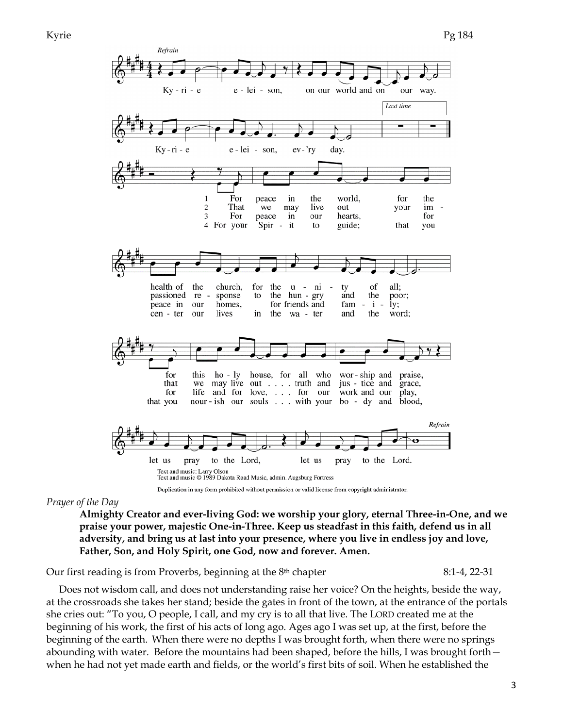

Duplication in any form prohibited without permission or valid license from copyright administrator.

### *Prayer of the Day*

**Almighty Creator and ever-living God: we worship your glory, eternal Three-in-One, and we praise your power, majestic One-in-Three. Keep us steadfast in this faith, defend us in all adversity, and bring us at last into your presence, where you live in endless joy and love, Father, Son, and Holy Spirit, one God, now and forever. Amen.**

Our first reading is from Proverbs, beginning at the 8th chapter 8:1-4, 22-31

 Does not wisdom call, and does not understanding raise her voice? On the heights, beside the way, at the crossroads she takes her stand; beside the gates in front of the town, at the entrance of the portals she cries out: "To you, O people, I call, and my cry is to all that live. The LORD created me at the beginning of his work, the first of his acts of long ago. Ages ago I was set up, at the first, before the beginning of the earth. When there were no depths I was brought forth, when there were no springs abounding with water. Before the mountains had been shaped, before the hills, I was brought forth when he had not yet made earth and fields, or the world's first bits of soil. When he established the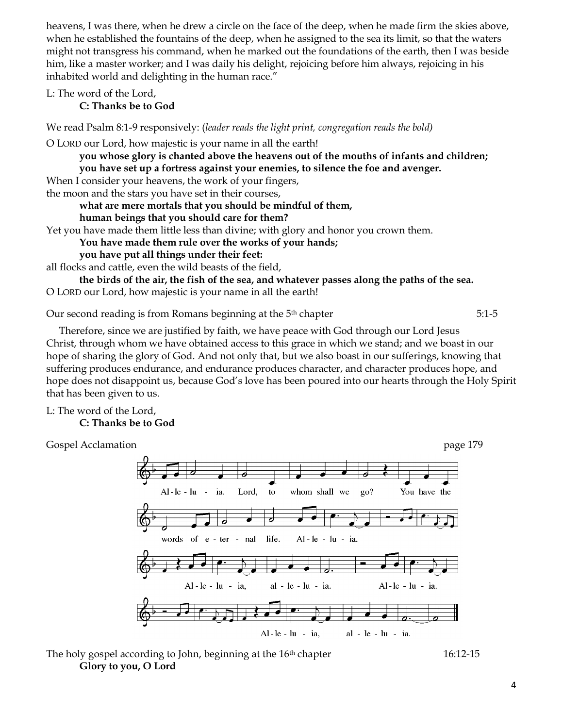heavens, I was there, when he drew a circle on the face of the deep, when he made firm the skies above, when he established the fountains of the deep, when he assigned to the sea its limit, so that the waters might not transgress his command, when he marked out the foundations of the earth, then I was beside him, like a master worker; and I was daily his delight, rejoicing before him always, rejoicing in his inhabited world and delighting in the human race."

L: The word of the Lord,

**C: Thanks be to God**

We read Psalm 8:1-9 responsively: (*leader reads the light print, congregation reads the bold)*

O LORD our Lord, how majestic is your name in all the earth!

**you whose glory is chanted above the heavens out of the mouths of infants and children; you have set up a fortress against your enemies, to silence the foe and avenger.**

When I consider your heavens, the work of your fingers,

the moon and the stars you have set in their courses,

### **what are mere mortals that you should be mindful of them,**

**human beings that you should care for them?**

Yet you have made them little less than divine; with glory and honor you crown them.

**You have made them rule over the works of your hands;**

**you have put all things under their feet:**

all flocks and cattle, even the wild beasts of the field,

**the birds of the air, the fish of the sea, and whatever passes along the paths of the sea.** O LORD our Lord, how majestic is your name in all the earth!

Our second reading is from Romans beginning at the 5th chapter 5:1-5

 Therefore, since we are justified by faith, we have peace with God through our Lord Jesus Christ, through whom we have obtained access to this grace in which we stand; and we boast in our hope of sharing the glory of God. And not only that, but we also boast in our sufferings, knowing that suffering produces endurance, and endurance produces character, and character produces hope, and hope does not disappoint us, because God's love has been poured into our hearts through the Holy Spirit that has been given to us.

L: The word of the Lord, **C: Thanks be to God**

Gospel Acclamation **page 179** and the set of the set of the set of the set of the set of the set of the set of the set of the set of the set of the set of the set of the set of the set of the set of the set of the set of t whom shall we You have the  $Al-le - lu$ ia. Lord, to  $\mathbf{g}_0$ ? words of e - ter - nal life.  $Al - le - lu - ia$ . Al-le-lu - ia, al - le - lu - ia. Al-le - lu - ia.  $Al-le - lu - ia$ , al - le - lu - ia.

The holy gospel according to John, beginning at the  $16<sup>th</sup>$  chapter 16:12-15 **Glory to you, O Lord**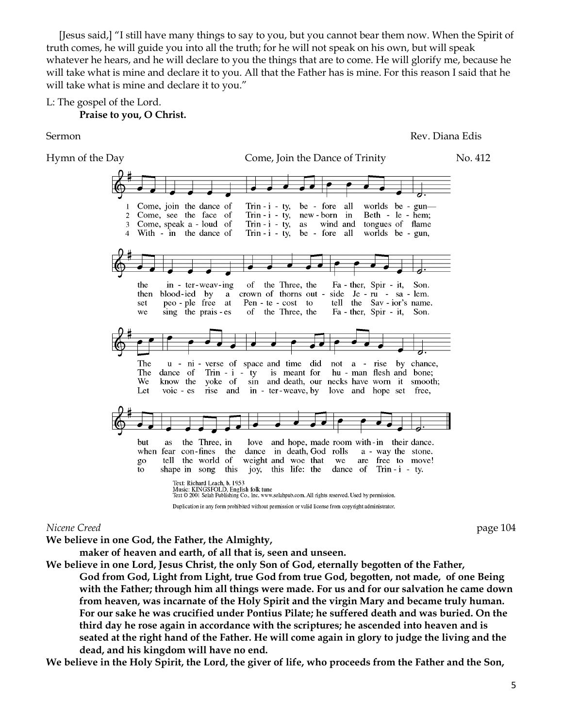[Jesus said,] "I still have many things to say to you, but you cannot bear them now. When the Spirit of truth comes, he will guide you into all the truth; for he will not speak on his own, but will speak whatever he hears, and he will declare to you the things that are to come. He will glorify me, because he will take what is mine and declare it to you. All that the Father has is mine. For this reason I said that he will take what is mine and declare it to you."

L: The gospel of the Lord.

### **Praise to you, O Christ.**

Sermon Rev. Diana Edis



### *Nicene Creed* page 104

**We believe in one God, the Father, the Almighty,**

**maker of heaven and earth, of all that is, seen and unseen.**

**We believe in one Lord, Jesus Christ, the only Son of God, eternally begotten of the Father, God from God, Light from Light, true God from true God, begotten, not made, of one Being with the Father; through him all things were made. For us and for our salvation he came down from heaven, was incarnate of the Holy Spirit and the virgin Mary and became truly human. For our sake he was crucified under Pontius Pilate; he suffered death and was buried. On the third day he rose again in accordance with the scriptures; he ascended into heaven and is seated at the right hand of the Father. He will come again in glory to judge the living and the dead, and his kingdom will have no end.**

**We believe in the Holy Spirit, the Lord, the giver of life, who proceeds from the Father and the Son,**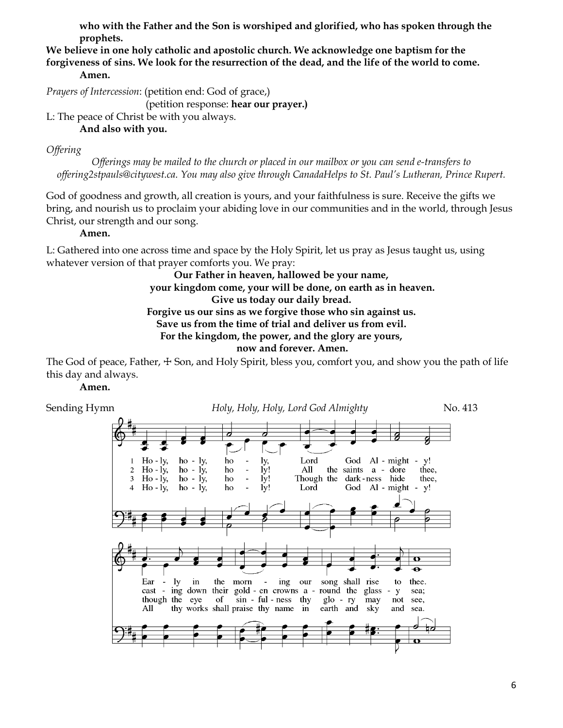**who with the Father and the Son is worshiped and glorified, who has spoken through the prophets.**

**We believe in one holy catholic and apostolic church. We acknowledge one baptism for the forgiveness of sins. We look for the resurrection of the dead, and the life of the world to come. Amen.**

*Prayers of Intercession*: (petition end: God of grace,)

(petition response: **hear our prayer.)**

L: The peace of Christ be with you always.

### **And also with you.**

## *Offering*

*Offerings may be mailed to the church or placed in our mailbox or you can send e-transfers to offering2stpauls@citywest.ca. You may also give through CanadaHelps to St. Paul's Lutheran, Prince Rupert.*

God of goodness and growth, all creation is yours, and your faithfulness is sure. Receive the gifts we bring, and nourish us to proclaim your abiding love in our communities and in the world, through Jesus Christ, our strength and our song.

### **Amen.**

L: Gathered into one across time and space by the Holy Spirit, let us pray as Jesus taught us, using whatever version of that prayer comforts you. We pray:

### **Our Father in heaven, hallowed be your name, your kingdom come, your will be done, on earth as in heaven. Give us today our daily bread. Forgive us our sins as we forgive those who sin against us. Save us from the time of trial and deliver us from evil. For the kingdom, the power, and the glory are yours, now and forever. Amen.**

The God of peace, Father,  $\pm$  Son, and Holy Spirit, bless you, comfort you, and show you the path of life this day and always.

# **Amen.**

Sending Hymn *Holy, Holy, Holy, Lord God Almighty* No. 413 $Ho - ly,$  $ho - ly$ , ho ly, Lord God Al - might y!  $Ho - Iy$ ,  $ho - iy$ , ho  $1y!$ All the saints a - dore  $\mathbf 2$ thee,  $Ho - Iy$ ,  $ho - iy$ ,  $\overline{3}$ ho ly! Though the dark-ness hide thee, God Al - might - y!  $\overline{\mathbf{4}}$  $Ho - ly$  $ho - ly$ , ho  $1v!$ Lord Ear  $\operatorname{morn}$ ly in the ing our song shall rise to thee.  $cast$ ing down their gold - en crowns a round the glass  $\mathbf{y}$ sea: though the eye of sin - ful - ness thy  $g$ lo - ry may not see, All thy works shall praise thy name in earth and and sky sea.